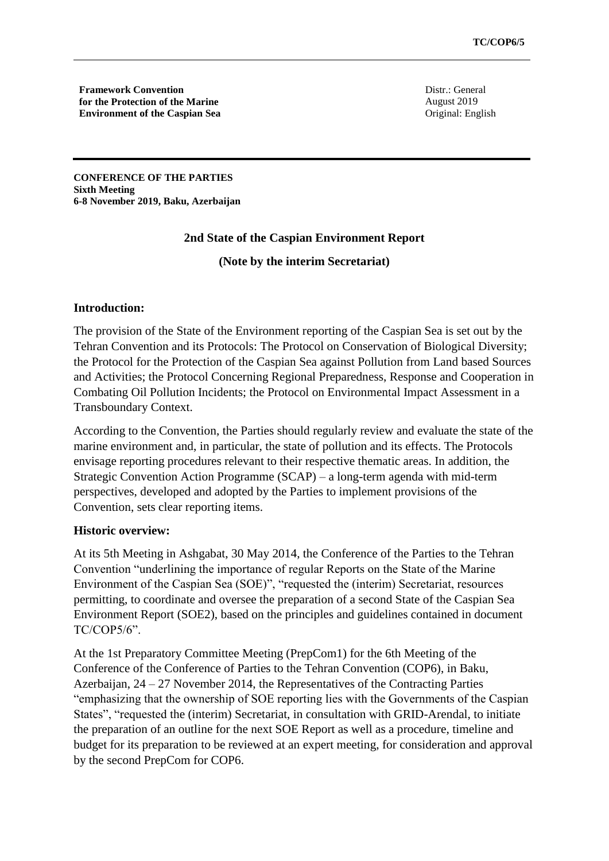**Framework Convention for the Protection of the Marine Environment of the Caspian Sea** Distr.: General August 2019 Original: English

**CONFERENCE OF THE PARTIES Sixth Meeting 6-8 November 2019, Baku, Azerbaijan** 

# **2nd State of the Caspian Environment Report**

**(Note by the interim Secretariat)**

## **Introduction:**

The provision of the State of the Environment reporting of the Caspian Sea is set out by the Tehran Convention and its Protocols: The Protocol on Conservation of Biological Diversity; the Protocol for the Protection of the Caspian Sea against Pollution from Land based Sources and Activities; the Protocol Concerning Regional Preparedness, Response and Cooperation in Combating Oil Pollution Incidents; the Protocol on Environmental Impact Assessment in a Transboundary Context.

According to the Convention, the Parties should regularly review and evaluate the state of the marine environment and, in particular, the state of pollution and its effects. The Protocols envisage reporting procedures relevant to their respective thematic areas. In addition, the Strategic Convention Action Programme (SCAP) – a long-term agenda with mid-term perspectives, developed and adopted by the Parties to implement provisions of the Convention, sets clear reporting items.

#### **Historic overview:**

At its 5th Meeting in Ashgabat, 30 May 2014, the Conference of the Parties to the Tehran Convention "underlining the importance of regular Reports on the State of the Marine Environment of the Caspian Sea (SOE)", "requested the (interim) Secretariat, resources permitting, to coordinate and oversee the preparation of a second State of the Caspian Sea Environment Report (SOE2), based on the principles and guidelines contained in document TC/COP5/6".

At the 1st Preparatory Committee Meeting (PrepCom1) for the 6th Meeting of the Conference of the Conference of Parties to the Tehran Convention (COP6), in Baku, Azerbaijan, 24 – 27 November 2014, the Representatives of the Contracting Parties "emphasizing that the ownership of SOE reporting lies with the Governments of the Caspian States", "requested the (interim) Secretariat, in consultation with GRID-Arendal, to initiate the preparation of an outline for the next SOE Report as well as a procedure, timeline and budget for its preparation to be reviewed at an expert meeting, for consideration and approval by the second PrepCom for COP6.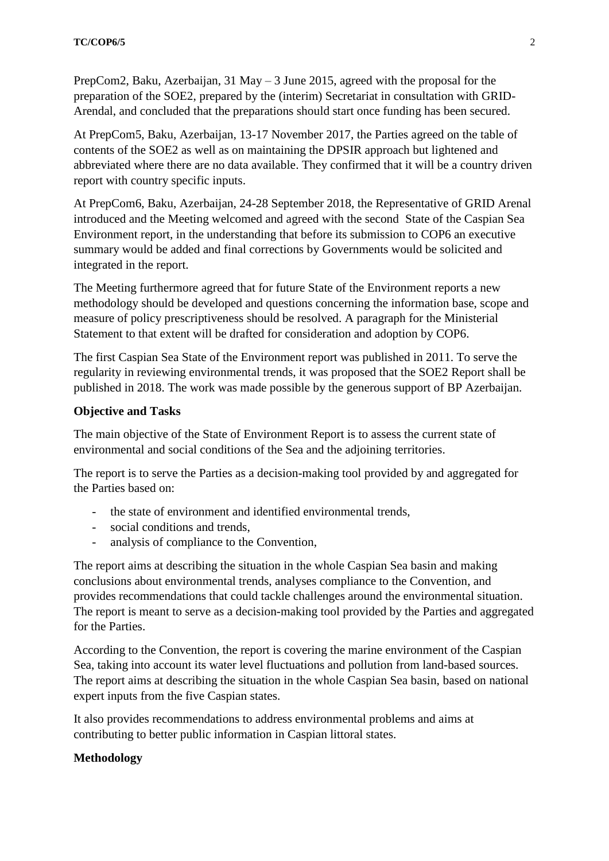PrepCom2, Baku, Azerbaijan, 31 May – 3 June 2015, agreed with the proposal for the preparation of the SOE2, prepared by the (interim) Secretariat in consultation with GRID-Arendal, and concluded that the preparations should start once funding has been secured.

At PrepCom5, Baku, Azerbaijan, 13-17 November 2017, the Parties agreed on the table of contents of the SOE2 as well as on maintaining the DPSIR approach but lightened and abbreviated where there are no data available. They confirmed that it will be a country driven report with country specific inputs.

At PrepCom6, Baku, Azerbaijan, 24-28 September 2018, the Representative of GRID Arenal introduced and the Meeting welcomed and agreed with the second State of the Caspian Sea Environment report, in the understanding that before its submission to COP6 an executive summary would be added and final corrections by Governments would be solicited and integrated in the report.

The Meeting furthermore agreed that for future State of the Environment reports a new methodology should be developed and questions concerning the information base, scope and measure of policy prescriptiveness should be resolved. A paragraph for the Ministerial Statement to that extent will be drafted for consideration and adoption by COP6.

The first Caspian Sea State of the Environment report was published in 2011. To serve the regularity in reviewing environmental trends, it was proposed that the SOE2 Report shall be published in 2018. The work was made possible by the generous support of BP Azerbaijan.

## **Objective and Tasks**

The main objective of the State of Environment Report is to assess the current state of environmental and social conditions of the Sea and the adjoining territories.

The report is to serve the Parties as a decision-making tool provided by and aggregated for the Parties based on:

- the state of environment and identified environmental trends,
- social conditions and trends,
- analysis of compliance to the Convention,

The report aims at describing the situation in the whole Caspian Sea basin and making conclusions about environmental trends, analyses compliance to the Convention, and provides recommendations that could tackle challenges around the environmental situation. The report is meant to serve as a decision-making tool provided by the Parties and aggregated for the Parties.

According to the Convention, the report is covering the marine environment of the Caspian Sea, taking into account its water level fluctuations and pollution from land-based sources. The report aims at describing the situation in the whole Caspian Sea basin, based on national expert inputs from the five Caspian states.

It also provides recommendations to address environmental problems and aims at contributing to better public information in Caspian littoral states.

# **Methodology**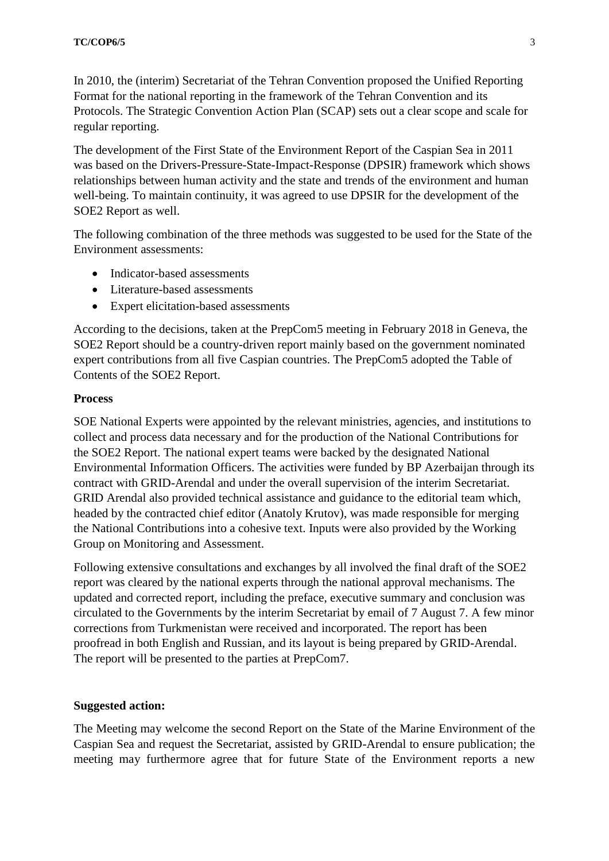In 2010, the (interim) Secretariat of the Tehran Convention proposed the Unified Reporting Format for the national reporting in the framework of the Tehran Convention and its Protocols. The Strategic Convention Action Plan (SCAP) sets out a clear scope and scale for regular reporting.

The development of the First State of the Environment Report of the Caspian Sea in 2011 was based on the Drivers-Pressure-State-Impact-Response (DPSIR) framework which shows relationships between human activity and the state and trends of the environment and human well-being. To maintain continuity, it was agreed to use DPSIR for the development of the SOE2 Report as well.

The following combination of the three methods was suggested to be used for the State of the Environment assessments:

- Indicator-based assessments
- Literature-based assessments
- Expert elicitation-based assessments

According to the decisions, taken at the PrepCom5 meeting in February 2018 in Geneva, the SOE2 Report should be a country-driven report mainly based on the government nominated expert contributions from all five Caspian countries. The PrepCom5 adopted the Table of Contents of the SOE2 Report.

### **Process**

SOE National Experts were appointed by the relevant ministries, agencies, and institutions to collect and process data necessary and for the production of the National Contributions for the SOE2 Report. The national expert teams were backed by the designated National Environmental Information Officers. The activities were funded by BP Azerbaijan through its contract with GRID-Arendal and under the overall supervision of the interim Secretariat. GRID Arendal also provided technical assistance and guidance to the editorial team which, headed by the contracted chief editor (Anatoly Krutov), was made responsible for merging the National Contributions into a cohesive text. Inputs were also provided by the Working Group on Monitoring and Assessment.

Following extensive consultations and exchanges by all involved the final draft of the SOE2 report was cleared by the national experts through the national approval mechanisms. The updated and corrected report, including the preface, executive summary and conclusion was circulated to the Governments by the interim Secretariat by email of 7 August 7. A few minor corrections from Turkmenistan were received and incorporated. The report has been proofread in both English and Russian, and its layout is being prepared by GRID-Arendal. The report will be presented to the parties at PrepCom7.

#### **Suggested action:**

The Meeting may welcome the second Report on the State of the Marine Environment of the Caspian Sea and request the Secretariat, assisted by GRID-Arendal to ensure publication; the meeting may furthermore agree that for future State of the Environment reports a new